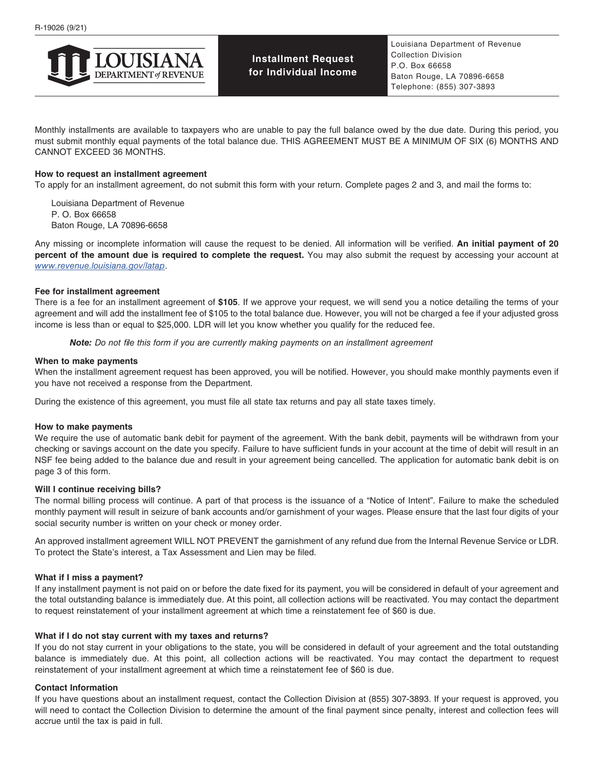

**Installment Request for Individual Income**

Monthly installments are available to taxpayers who are unable to pay the full balance owed by the due date. During this period, you must submit monthly equal payments of the total balance due. THIS AGREEMENT MUST BE A MINIMUM OF SIX (6) MONTHS AND CANNOT EXCEED 36 MONTHS.

#### **How to request an installment agreement**

To apply for an installment agreement, do not submit this form with your return. Complete pages 2 and 3, and mail the forms to:

Louisiana Department of Revenue P. O. Box 66658 Baton Rouge, LA 70896-6658

Any missing or incomplete information will cause the request to be denied. All information will be verified. **An initial payment of 20 percent of the amount due is required to complete the request.** You may also submit the request by accessing your account at *[www.revenue.louisiana.gov/latap](http://www.revenue.louisiana.gov/latap)*.

#### **Fee for installment agreement**

There is a fee for an installment agreement of **\$105**. If we approve your request, we will send you a notice detailing the terms of your agreement and will add the installment fee of \$105 to the total balance due. However, you will not be charged a fee if your adjusted gross income is less than or equal to \$25,000. LDR will let you know whether you qualify for the reduced fee.

*Note: Do not file this form if you are currently making payments on an installment agreement*

#### **When to make payments**

When the installment agreement request has been approved, you will be notified. However, you should make monthly payments even if you have not received a response from the Department.

During the existence of this agreement, you must file all state tax returns and pay all state taxes timely.

#### **How to make payments**

We require the use of automatic bank debit for payment of the agreement. With the bank debit, payments will be withdrawn from your checking or savings account on the date you specify. Failure to have sufficient funds in your account at the time of debit will result in an NSF fee being added to the balance due and result in your agreement being cancelled. The application for automatic bank debit is on page 3 of this form.

#### **Will I continue receiving bills?**

The normal billing process will continue. A part of that process is the issuance of a "Notice of Intent". Failure to make the scheduled monthly payment will result in seizure of bank accounts and/or garnishment of your wages. Please ensure that the last four digits of your social security number is written on your check or money order.

An approved installment agreement WILL NOT PREVENT the garnishment of any refund due from the Internal Revenue Service or LDR. To protect the State's interest, a Tax Assessment and Lien may be filed.

#### **What if I miss a payment?**

If any installment payment is not paid on or before the date fixed for its payment, you will be considered in default of your agreement and the total outstanding balance is immediately due. At this point, all collection actions will be reactivated. You may contact the department to request reinstatement of your installment agreement at which time a reinstatement fee of \$60 is due.

#### **What if I do not stay current with my taxes and returns?**

If you do not stay current in your obligations to the state, you will be considered in default of your agreement and the total outstanding balance is immediately due. At this point, all collection actions will be reactivated. You may contact the department to request reinstatement of your installment agreement at which time a reinstatement fee of \$60 is due.

#### **Contact Information**

If you have questions about an installment request, contact the Collection Division at (855) 307-3893. If your request is approved, you will need to contact the Collection Division to determine the amount of the final payment since penalty, interest and collection fees will accrue until the tax is paid in full.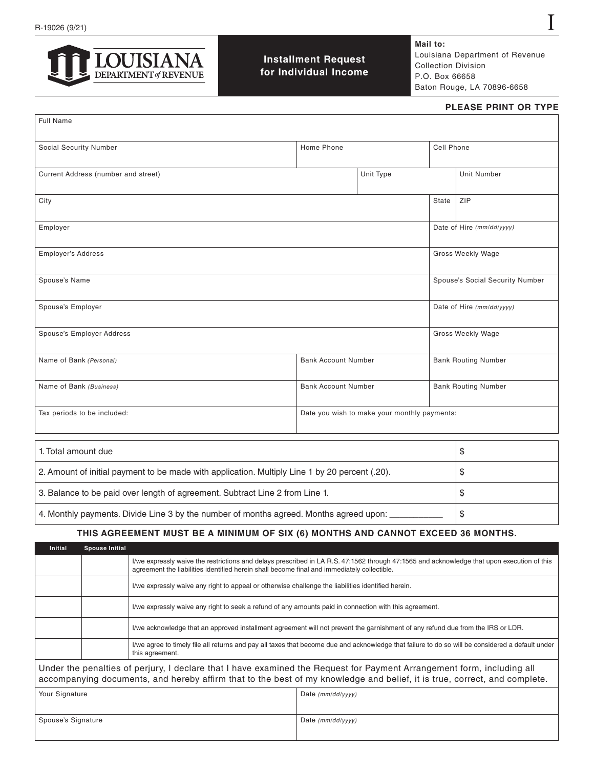

**Installment Request for Individual Income** **Mail to:** Louisiana Department of Revenue Collection Division P.O. Box 66658 Baton Rouge, LA 70896-6658

#### **PLEASE PRINT OR TYPE**

I

| <b>Full Name</b>                                      |                                              |                            |                            |                                 |  |
|-------------------------------------------------------|----------------------------------------------|----------------------------|----------------------------|---------------------------------|--|
| Social Security Number                                | Home Phone                                   |                            | Cell Phone                 |                                 |  |
| Current Address (number and street)                   |                                              | Unit Type                  |                            | Unit Number                     |  |
| City                                                  |                                              |                            | State                      | ZIP                             |  |
| Employer                                              |                                              |                            |                            | Date of Hire (mm/dd/yyyy)       |  |
| Employer's Address                                    |                                              |                            |                            | Gross Weekly Wage               |  |
| Spouse's Name                                         |                                              |                            |                            | Spouse's Social Security Number |  |
| Spouse's Employer                                     |                                              |                            |                            | Date of Hire (mm/dd/yyyy)       |  |
| Spouse's Employer Address                             |                                              |                            |                            | Gross Weekly Wage               |  |
| Name of Bank (Personal)                               | <b>Bank Account Number</b>                   |                            | <b>Bank Routing Number</b> |                                 |  |
| <b>Bank Account Number</b><br>Name of Bank (Business) |                                              | <b>Bank Routing Number</b> |                            |                                 |  |
| Tax periods to be included:                           | Date you wish to make your monthly payments: |                            |                            |                                 |  |
|                                                       |                                              |                            |                            |                                 |  |

| 1. Total amount due                                                                            |  |
|------------------------------------------------------------------------------------------------|--|
| 2. Amount of initial payment to be made with application. Multiply Line 1 by 20 percent (.20). |  |
| 3. Balance to be paid over length of agreement. Subtract Line 2 from Line 1.                   |  |
| 4. Monthly payments. Divide Line 3 by the number of months agreed. Months agreed upon:         |  |

## **THIS AGREEMENT MUST BE A MINIMUM OF SIX (6) MONTHS AND CANNOT EXCEED 36 MONTHS.**

| <b>Initial</b>                                                                                                                                                                                                                                      | <b>Spouse Initial</b> |                                                                                                                                                                     |                                                                                                                                                                                                                                           |  |  |
|-----------------------------------------------------------------------------------------------------------------------------------------------------------------------------------------------------------------------------------------------------|-----------------------|---------------------------------------------------------------------------------------------------------------------------------------------------------------------|-------------------------------------------------------------------------------------------------------------------------------------------------------------------------------------------------------------------------------------------|--|--|
|                                                                                                                                                                                                                                                     |                       |                                                                                                                                                                     | I/we expressly waive the restrictions and delays prescribed in LA R.S. 47:1562 through 47:1565 and acknowledge that upon execution of this<br>agreement the liabilities identified herein shall become final and immediately collectible. |  |  |
|                                                                                                                                                                                                                                                     |                       | I/we expressly waive any right to appeal or otherwise challenge the liabilities identified herein.                                                                  |                                                                                                                                                                                                                                           |  |  |
|                                                                                                                                                                                                                                                     |                       | I/we expressly waive any right to seek a refund of any amounts paid in connection with this agreement.                                                              |                                                                                                                                                                                                                                           |  |  |
|                                                                                                                                                                                                                                                     |                       | I/we acknowledge that an approved installment agreement will not prevent the garnishment of any refund due from the IRS or LDR.                                     |                                                                                                                                                                                                                                           |  |  |
|                                                                                                                                                                                                                                                     |                       | I/we agree to timely file all returns and pay all taxes that become due and acknowledge that failure to do so will be considered a default under<br>this agreement. |                                                                                                                                                                                                                                           |  |  |
| Under the penalties of perjury, I declare that I have examined the Request for Payment Arrangement form, including all<br>accompanying documents, and hereby affirm that to the best of my knowledge and belief, it is true, correct, and complete. |                       |                                                                                                                                                                     |                                                                                                                                                                                                                                           |  |  |
| Your Signature                                                                                                                                                                                                                                      |                       |                                                                                                                                                                     | Date $(mm/dd/yyyy)$                                                                                                                                                                                                                       |  |  |
| Spouse's Signature                                                                                                                                                                                                                                  |                       |                                                                                                                                                                     | Date (mm/dd/yyyy)                                                                                                                                                                                                                         |  |  |